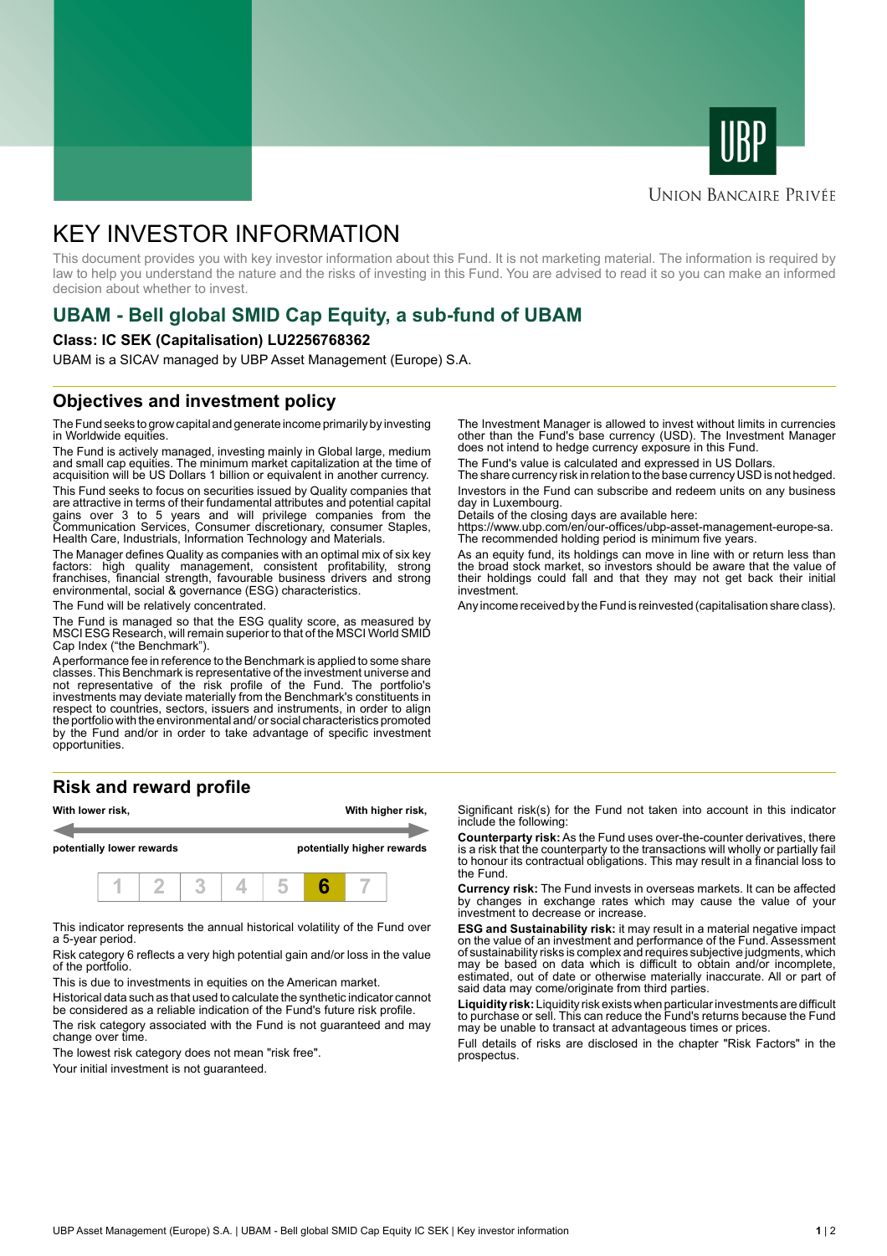



# **UNION BANCAIRE PRIVÉE**

# KEY INVESTOR INFORMATION

This document provides you with key investor information about this Fund. It is not marketing material. The information is required by law to help you understand the nature and the risks of investing in this Fund. You are advised to read it so you can make an informed decision about whether to invest.

# **UBAM - Bell global SMID Cap Equity, a sub-fund of UBAM**

### **Class: IC SEK (Capitalisation) LU2256768362**

UBAM is a SICAV managed by UBP Asset Management (Europe) S.A.

# **Objectives and investment policy**

The Fund seeks to grow capital and generate income primarily by investing in Worldwide equities.

The Fund is actively managed, investing mainly in Global large, medium and small cap equities. The minimum market capitalization at the time of acquisition will be US Dollars 1 billion or equivalent in another currency.

This Fund seeks to focus on securities issued by Quality companies that are attractive in terms of their fundamental attributes and potential capital gains over 3 to 5 years and will privilege companies from the Communication Services, Consumer discretionary, consumer Staples, Health Care, Industrials, Information Technology and Materials.

The Manager defines Quality as companies with an optimal mix of six key factors: high quality management, consistent profitability, strong franchises, financial strength, favourable business drivers and strong environmental, social & governance (ESG) characteristics.

The Fund will be relatively concentrated.

The Fund is managed so that the ESG quality score, as measured by MSCI ESG Research, will remain superior to that of the MSCI World SMID Cap Index ("the Benchmark").

A performance fee in reference to the Benchmark is applied to some share classes. This Benchmark is representative of the investment universe and not representative of the risk profile of the Fund. The portfolio's investments may deviate materially from the Benchmark's constituents in respect to countries, sectors, issuers and instruments, in order to align the portfolio with the environmental and/ or social characteristics promoted by the Fund and/or in order to take advantage of specific investment opportunities.

# **Risk and reward profile**



This indicator represents the annual historical volatility of the Fund over a 5-year period.

Risk category 6 reflects a very high potential gain and/or loss in the value of the portfolio.

This is due to investments in equities on the American market.

Historical data such as that used to calculate the synthetic indicator cannot be considered as a reliable indication of the Fund's future risk profile.

The risk category associated with the Fund is not guaranteed and may change over time.

The lowest risk category does not mean "risk free".

Your initial investment is not quaranteed.

The Investment Manager is allowed to invest without limits in currencies other than the Fund's base currency (USD). The Investment Manager does not intend to hedge currency exposure in this Fund.

The Fund's value is calculated and expressed in US Dollars.

The share currency risk in relation to the base currency USD is not hedged. Investors in the Fund can subscribe and redeem units on any business day in Luxembourg.

Details of the closing days are available here:

https://www.ubp.com/en/our-offices/ubp-asset-management-europe-sa. The recommended holding period is minimum five years.

As an equity fund, its holdings can move in line with or return less than the broad stock market, so investors should be aware that the value of their holdings could fall and that they may not get back their initial investment.

Any income received by the Fund is reinvested (capitalisation share class).

Significant risk(s) for the Fund not taken into account in this indicator include the following:

**Counterparty risk:** As the Fund uses over-the-counter derivatives, there is a risk that the counterparty to the transactions will wholly or partially fail to honour its contractual obligations. This may result in a financial loss to the Fund.

**Currency risk:** The Fund invests in overseas markets. It can be affected by changes in exchange rates which may cause the value of your investment to decrease or increase.

**ESG and Sustainability risk:** it may result in a material negative impact on the value of an investment and performance of the Fund. Assessment of sustainability risks is complex and requires subjective judgments, which may be based on data which is difficult to obtain and/or incomplete, estimated, out of date or otherwise materially inaccurate. All or part of said data may come/originate from third parties.

**Liquidity risk:** Liquidity risk exists when particular investments are difficult to purchase or sell. This can reduce the Fund's returns because the Fund may be unable to transact at advantageous times or prices.

Full details of risks are disclosed in the chapter "Risk Factors" in the prospectus.